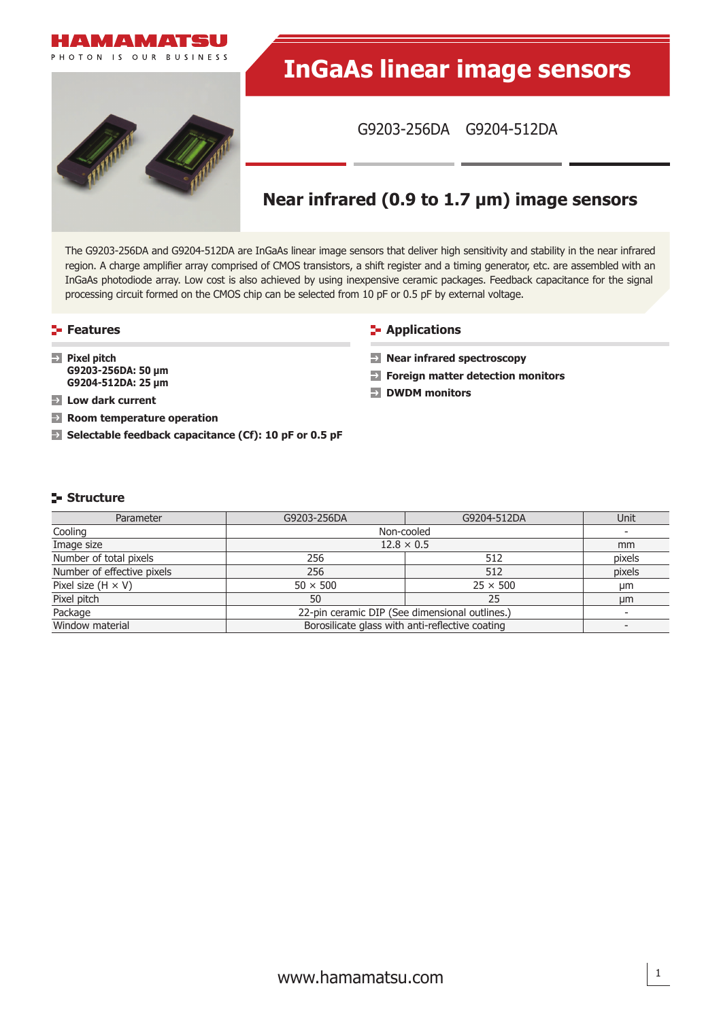

The G9203-256DA and G9204-512DA are InGaAs linear image sensors that deliver high sensitivity and stability in the near infrared region. A charge amplifier array comprised of CMOS transistors, a shift register and a timing generator, etc. are assembled with an InGaAs photodiode array. Low cost is also achieved by using inexpensive ceramic packages. Feedback capacitance for the signal processing circuit formed on the CMOS chip can be selected from 10 pF or 0.5 pF by external voltage.

**Pixel pitch**

**Low dark current**

**G9203-256DA: 50 μm G9204-512DA: 25 μm**

**Room temperature operation**

**Selectable feedback capacitance (Cf): 10 pF or 0.5 pF**

### **Features Contractions Contractions**

- **Near infrared spectroscopy**
- **Foreign matter detection monitors**
- **DWDM monitors**

# **Structure**

| Parameter                  | G9203-256DA                                                                 | Unit              |               |  |  |
|----------------------------|-----------------------------------------------------------------------------|-------------------|---------------|--|--|
| Cooling                    | Non-cooled                                                                  |                   |               |  |  |
| Image size                 |                                                                             | $12.8 \times 0.5$ | <sub>mm</sub> |  |  |
| Number of total pixels     | 256                                                                         | 512               | pixels        |  |  |
| Number of effective pixels | 256                                                                         | 512               | pixels        |  |  |
| Pixel size $(H \times V)$  | $50 \times 500$                                                             | $25 \times 500$   | μm            |  |  |
| Pixel pitch                | 50                                                                          | 25                | µm            |  |  |
| Package                    | 22-pin ceramic DIP (See dimensional outlines.)                              |                   |               |  |  |
| Window material            | Borosilicate glass with anti-reflective coating<br>$\overline{\phantom{0}}$ |                   |               |  |  |

1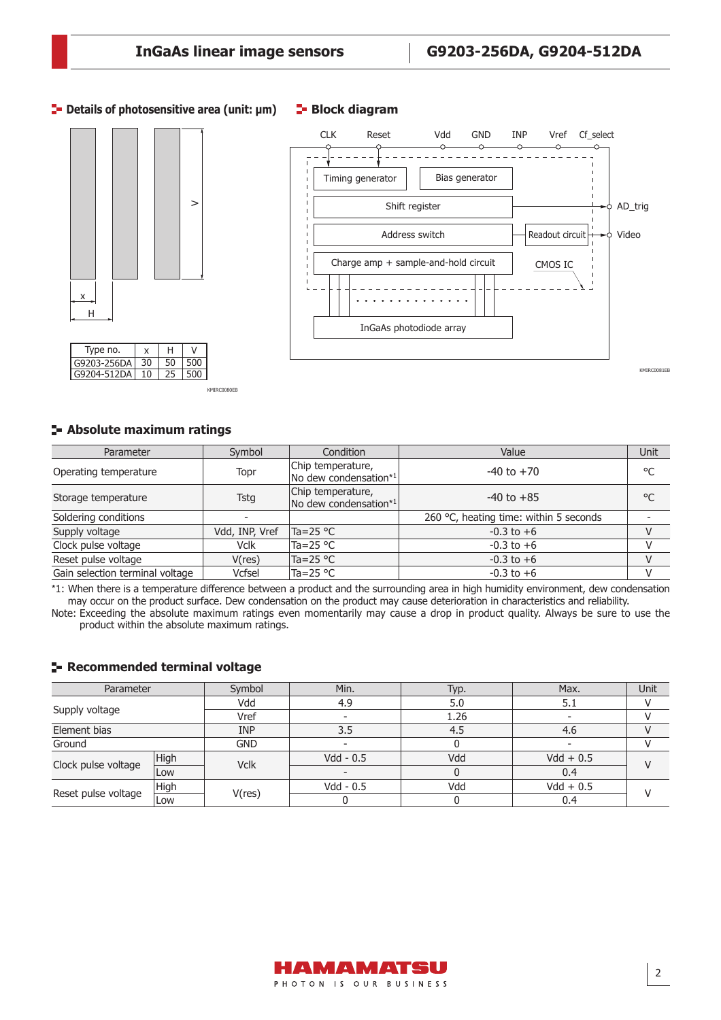## **<u>E</u>** Details of photosensitive area (unit: μm) **E** Block diagram





**Absolute maximum ratings**

G9204-512DA 10

KMIRC0080EB

 $25 \ 500$ 

| Parameter                       | Symbol         | Condition                                  | Value                                  | Unit |
|---------------------------------|----------------|--------------------------------------------|----------------------------------------|------|
| Operating temperature           | Topr           | Chip temperature,<br>No dew condensation*1 | $-40$ to $+70$                         | °C   |
| Storage temperature             | Tstg           | Chip temperature,<br>No dew condensation*1 | $-40$ to $+85$                         | °C   |
| Soldering conditions            |                |                                            | 260 °C, heating time: within 5 seconds |      |
| Supply voltage                  | Vdd, INP, Vref | $Ta = 25 °C$                               | $-0.3$ to $+6$                         |      |
| Clock pulse voltage             | <b>Vclk</b>    | Ta=25 $^{\circ}$ C                         | $-0.3$ to $+6$                         |      |
| Reset pulse voltage             | V(res)         | Ta=25 °C                                   | $-0.3$ to $+6$                         |      |
| Gain selection terminal voltage | Vcfsel         | Ta=25 °C                                   | $-0.3$ to $+6$                         |      |

\*1: When there is a temperature difference between a product and the surrounding area in high humidity environment, dew condensation may occur on the product surface. Dew condensation on the product may cause deterioration in characteristics and reliability.

Note: Exceeding the absolute maximum ratings even momentarily may cause a drop in product quality. Always be sure to use the product within the absolute maximum ratings.

### **Recommended terminal voltage**

| Parameter           |      | Symbol      | Min.                     | Typ. | Max.        | Unit |
|---------------------|------|-------------|--------------------------|------|-------------|------|
|                     |      | Vdd         |                          | 5.0  |             |      |
| Supply voltage      |      | Vref        |                          | 1.26 |             |      |
| Element bias        |      | <b>INP</b>  | 3.5                      | 4.5  | 4.6         |      |
| Ground              |      | <b>GND</b>  | $\overline{\phantom{a}}$ |      |             |      |
|                     | High | <b>Vclk</b> | $Vdd - 0.5$              | Vdd  | $Vdd + 0.5$ |      |
| Clock pulse voltage | Low  |             |                          |      | 0.4         |      |
|                     | High |             | $Vdd - 0.5$              | Vdd  | $Vdd + 0.5$ |      |
| Reset pulse voltage | Low  | V(res)      |                          |      | 0.4         |      |

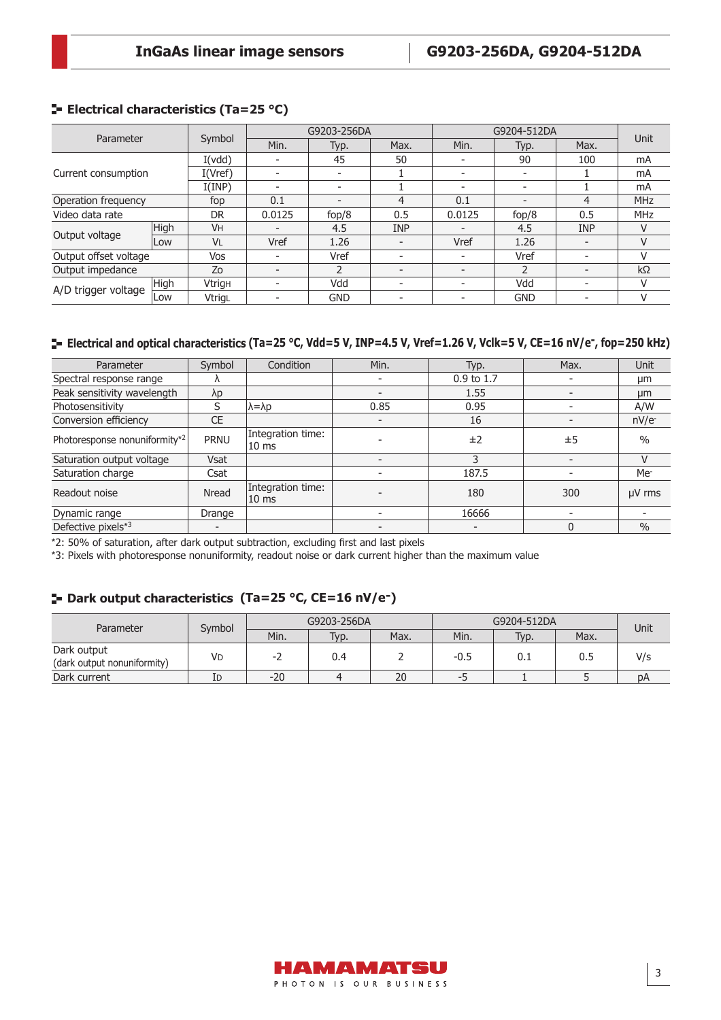# **E-** Electrical characteristics (Ta=25 °C)

| Parameter             |      |               | G9203-256DA              |               | G9204-512DA              |        |                          | Unit                     |            |
|-----------------------|------|---------------|--------------------------|---------------|--------------------------|--------|--------------------------|--------------------------|------------|
|                       |      | Symbol        | Min.                     | Typ.          | Max.                     | Min.   | Typ.                     | Max.                     |            |
|                       |      | I(vdd)        |                          | 45            | 50                       |        | 90                       | 100                      | mA         |
| Current consumption   |      | I(Vref)       |                          | -             |                          |        |                          |                          | mA         |
|                       |      | I(IMP)        | $\overline{\phantom{0}}$ |               |                          |        | $\overline{\phantom{0}}$ |                          | mA         |
| Operation frequency   |      | fop           | 0.1                      |               | 4                        | 0.1    |                          | 4                        | <b>MHz</b> |
| Video data rate       |      | <b>DR</b>     | 0.0125                   | fop/8         | 0.5                      | 0.0125 | fop/8                    | 0.5                      | <b>MHz</b> |
|                       | High | <b>VH</b>     |                          | 4.5           | <b>INP</b>               |        | 4.5                      | <b>INP</b>               | V          |
| Output voltage        | Low  | <b>VL</b>     | Vref                     | 1.26          | $\overline{\phantom{0}}$ | Vref   | 1.26                     | $\overline{\phantom{a}}$ | V          |
| Output offset voltage |      | Vos           | $\overline{\phantom{a}}$ | Vref          | $\overline{\phantom{a}}$ |        | Vref                     | $\overline{\phantom{a}}$ | v          |
| Output impedance      |      | Zo            |                          | $\mathcal{P}$ |                          |        |                          |                          | $k\Omega$  |
| A/D trigger voltage   | High | <b>Vtrigh</b> |                          | Vdd           | $\overline{\phantom{a}}$ |        | Vdd                      | $\overline{\phantom{0}}$ | V          |
|                       | Low  | VtrigL        | $\overline{\phantom{0}}$ | <b>GND</b>    | $\overline{\phantom{a}}$ |        | <b>GND</b>               | $\overline{\phantom{a}}$ | V          |

# **Electrical and optical characteristics (Ta=25 °C, Vdd=5 V, INP=4.5 V, Vref=1.26 V, Vclk=5 V, CE=16 nV/e-, fop=250 kHz)**

| Parameter                     | Symbol       | Condition                             | Min. | Typ.                     | Max.     | Unit            |
|-------------------------------|--------------|---------------------------------------|------|--------------------------|----------|-----------------|
| Spectral response range       |              |                                       |      | $0.9$ to 1.7             |          | µm              |
| Peak sensitivity wavelength   | λp           |                                       |      | 1.55                     |          | µm              |
| Photosensitivity              | S            | $\lambda = \lambda p$                 | 0.85 | 0.95                     |          | A/W             |
| Conversion efficiency         | CE           |                                       |      | 16                       |          | nV/e            |
| Photoresponse nonuniformity*2 | <b>PRNU</b>  | Integration time:<br>10 <sub>ms</sub> |      | ±2                       | ±5       | $\frac{0}{0}$   |
| Saturation output voltage     | <b>Vsat</b>  |                                       |      | 3                        |          | V               |
| Saturation charge             | Csat         |                                       |      | 187.5                    |          | Me <sup>-</sup> |
| Readout noise                 | <b>Nread</b> | Integration time:<br>10 <sub>ms</sub> |      | 180                      | 300      | µV rms          |
| Dynamic range                 | Drange       |                                       |      | 16666                    |          |                 |
| Defective pixels*3            |              |                                       |      | $\overline{\phantom{0}}$ | $\Omega$ | $\frac{0}{0}$   |

\*2: 50% of saturation, after dark output subtraction, excluding first and last pixels

\*3: Pixels with photoresponse nonuniformity, readout noise or dark current higher than the maximum value

# **Dark output characteristics (Ta=25 °C, CE=16 nV/e-)**

| Parameter                                  | Symbol |       | G9203-256DA |      |        | G9204-512DA |      | Unit |
|--------------------------------------------|--------|-------|-------------|------|--------|-------------|------|------|
|                                            |        | Min.  | Typ.        | Max. | Min.   | Typ.        | Max. |      |
| Dark output<br>(dark output nonuniformity) | VD     | - 1   | 0.4         |      | $-0.5$ | 0.1         |      | V/s  |
| Dark current                               | ΙD     | $-20$ |             | 20   | --     |             |      | DA   |

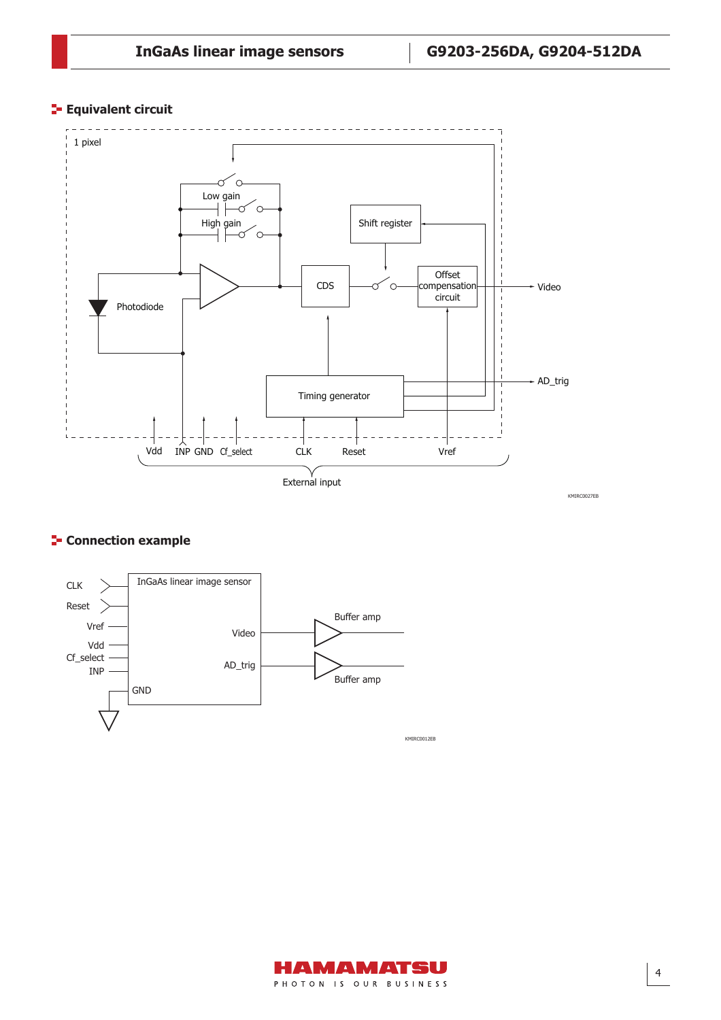# **Equivalent circuit**



# **F** Connection example



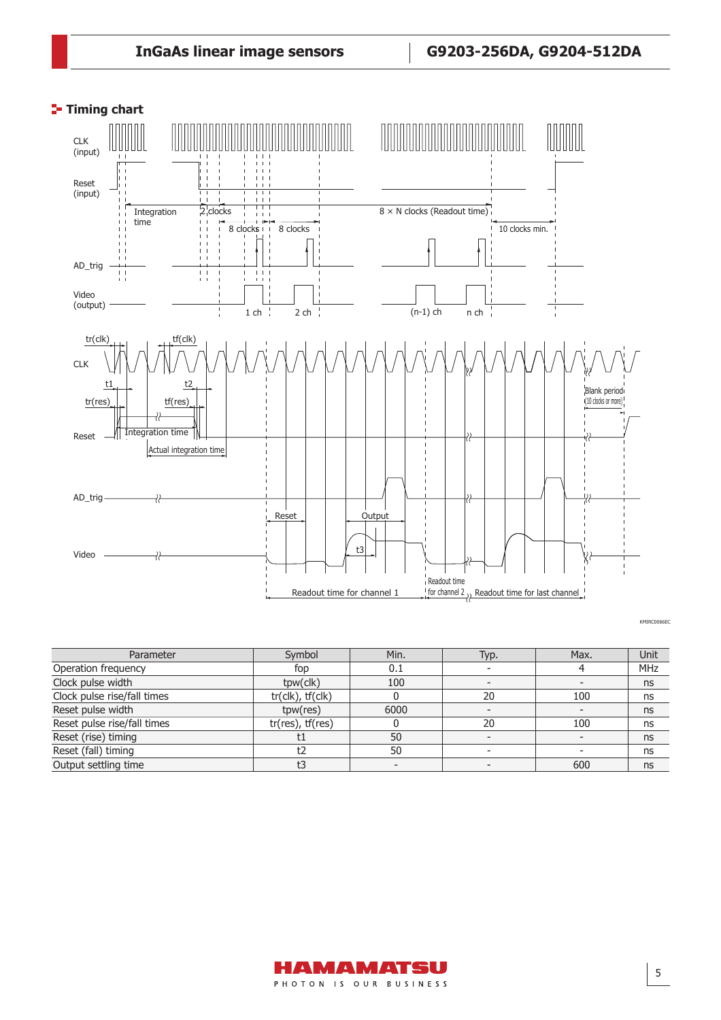

KMIRC0066EC

| Parameter                   | Symbol                        | Min. | Typ. | Max. | Unit |
|-----------------------------|-------------------------------|------|------|------|------|
| Operation frequency         | fop                           | 0.1  |      |      | MHz  |
| Clock pulse width           | tpw(clk)                      | 100  |      |      | ns   |
| Clock pulse rise/fall times | $tr($ clk $)$ , $tf($ clk $)$ |      | 20   | 100  | ns   |
| Reset pulse width           | tpw(res)                      | 6000 |      |      | ns   |
| Reset pulse rise/fall times | $tr(res)$ , $tf(res)$         |      | 20   | 100  | ns   |
| Reset (rise) timing         | τı                            | 50   |      |      | ns   |
| Reset (fall) timing         | t2                            | 50   |      |      | ns   |
| Output settling time        |                               |      |      | 600  | ns   |

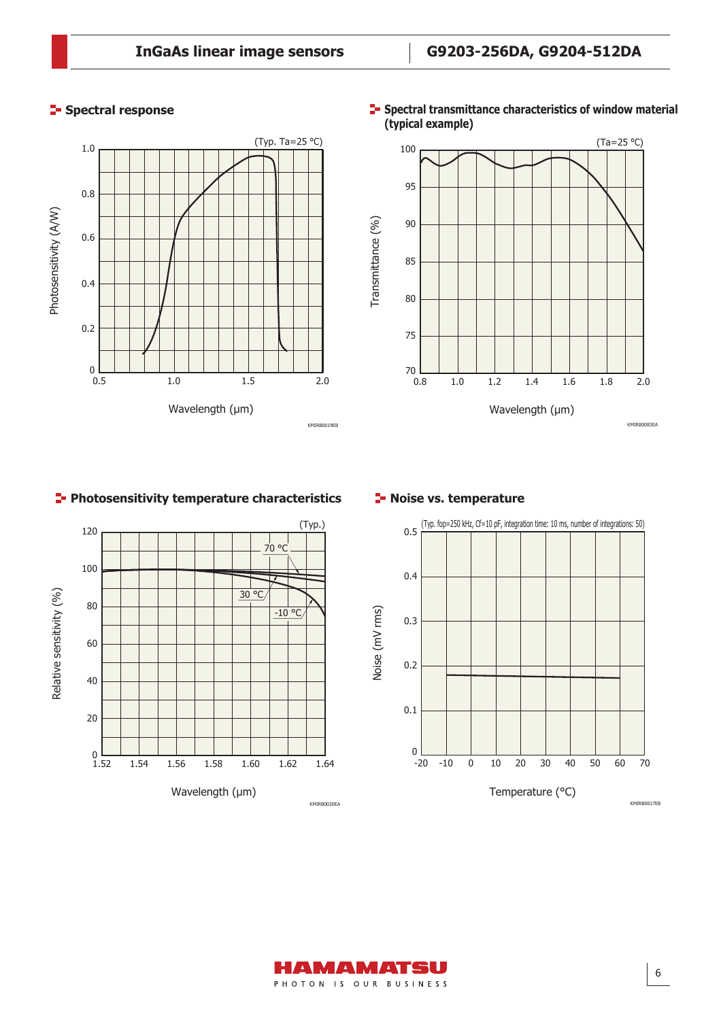# (Typ. Ta=25 °C) 1.0 0.8 Photosensitivity (A/W) Photosensitivity (A/W) 0.6 0.4 0.2 0<br>0.5 0.5 1.0 1.5 2.0 Wavelength (μm) KMIRB0019EB

# **Spectral response**





# **Photosensitivity temperature characteristics <b>PL** Noise vs. temperature





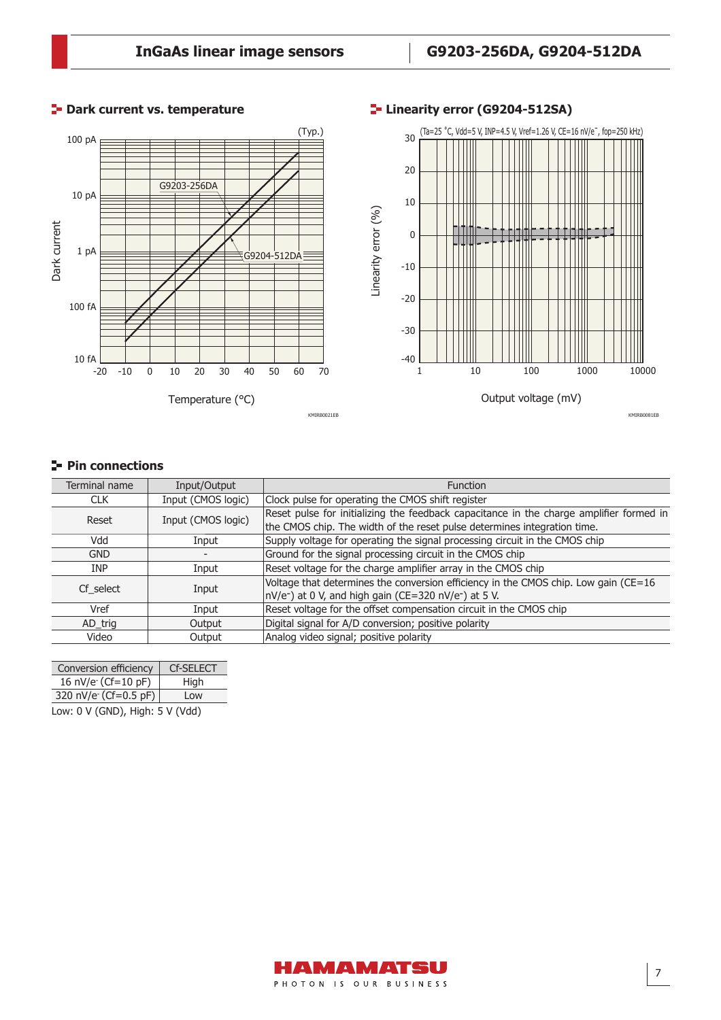

# **Dark current vs. temperature Linearity error (G9204-512SA)**

# **Pin connections**

| Terminal name | Input/Output       | <b>Function</b>                                                                         |
|---------------|--------------------|-----------------------------------------------------------------------------------------|
| <b>CLK</b>    | Input (CMOS logic) | Clock pulse for operating the CMOS shift register                                       |
| Reset         | Input (CMOS logic) | Reset pulse for initializing the feedback capacitance in the charge amplifier formed in |
|               |                    | the CMOS chip. The width of the reset pulse determines integration time.                |
| Vdd           | Input              | Supply voltage for operating the signal processing circuit in the CMOS chip             |
| <b>GND</b>    |                    | Ground for the signal processing circuit in the CMOS chip                               |
| <b>INP</b>    | Input              | Reset voltage for the charge amplifier array in the CMOS chip                           |
|               |                    | Voltage that determines the conversion efficiency in the CMOS chip. Low gain (CE=16     |
| Cf select     | Input              | nV/e <sup>-</sup> ) at 0 V, and high gain (CE=320 nV/e <sup>-</sup> ) at 5 V.           |
| Vref          | Input              | Reset voltage for the offset compensation circuit in the CMOS chip                      |
| AD_trig       | Output             | Digital signal for A/D conversion; positive polarity                                    |
| Video         | Output             | Analog video signal; positive polarity                                                  |

| Conversion efficiency              | <b>Cf-SELECT</b> |  |  |  |
|------------------------------------|------------------|--|--|--|
| 16 nV/e (Cf=10 pF)                 | High             |  |  |  |
| 320 nV/e $(Cf=0.5 pF)$             | Low              |  |  |  |
| $Iow: 0 V (GND)$ . High: 5 V (Vdd) |                  |  |  |  |

Low: 0 V (GND), High: 5 V (Vdd)

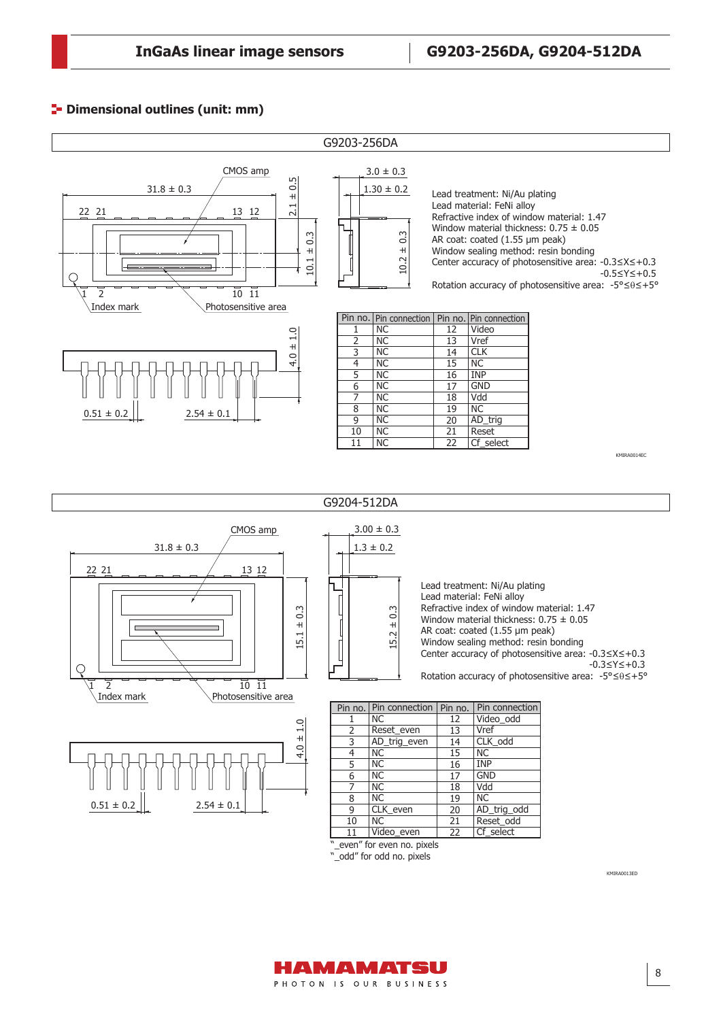# **P**- Dimensional outlines (unit: mm)



KMIRA0013ED